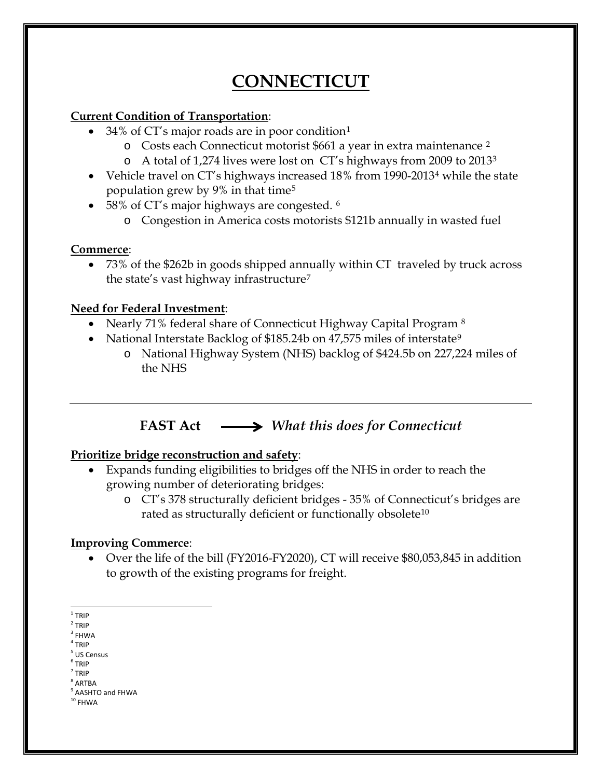# **CONNECTICUT**

### **Current Condition of Transportation**:

- 34% of CT's major roads are in poor condition<sup>[1](#page-0-0)</sup>
	- o Costs each Connecticut motorist \$661 a year in extra maintenance [2](#page-0-1)
	- o A total of 1,274 lives were lost on CT's highways from 2009 to 2013[3](#page-0-2)
- Vehicle travel on CT's highways increased 18% from 1990-2013[4](#page-0-3) while the state population grew by 9% in that time[5](#page-0-4)
- 58% of CT's major highways are congested. <sup>[6](#page-0-5)</sup>
	- o Congestion in America costs motorists \$121b annually in wasted fuel

### **Commerce**:

• 73% of the \$262b in goods shipped annually within CT traveled by truck across the state's vast highway infrastructure[7](#page-0-6)

### **Need for Federal Investment**:

- Nearly 71% federal share of Connecticut Highway Capital Program [8](#page-0-7)
- National Interstate Backlog of \$185.24b on 47,575 miles of interstate<sup>[9](#page-0-8)</sup>
	- o National Highway System (NHS) backlog of \$424.5b on 227,224 miles of the NHS

# **FAST Act** *What this does for Connecticut*

# **Prioritize bridge reconstruction and safety**:

- Expands funding eligibilities to bridges off the NHS in order to reach the growing number of deteriorating bridges:
	- o CT's 378 structurally deficient bridges 35% of Connecticut's bridges are rated as structurally deficient or functionally obsolete<sup>[10](#page-0-9)</sup>

# **Improving Commerce**:

• Over the life of the bill (FY2016-FY2020), CT will receive \$80,053,845 in addition to growth of the existing programs for freight.

- <span id="page-0-2"></span> $3$  FHWA
- <span id="page-0-3"></span> $4$  TRIP

<span id="page-0-5"></span><span id="page-0-4"></span><sup>6</sup> TRIP <sup>7</sup> TRIP

<span id="page-0-0"></span> $1$  TRIP

<span id="page-0-1"></span> $2$  TRIP

<sup>5</sup> US Census

<span id="page-0-7"></span><span id="page-0-6"></span><sup>8</sup> ARTBA

<sup>&</sup>lt;sup>9</sup> AASHTO and FHWA

<span id="page-0-9"></span><span id="page-0-8"></span> $^{\rm 10}$  FHWA